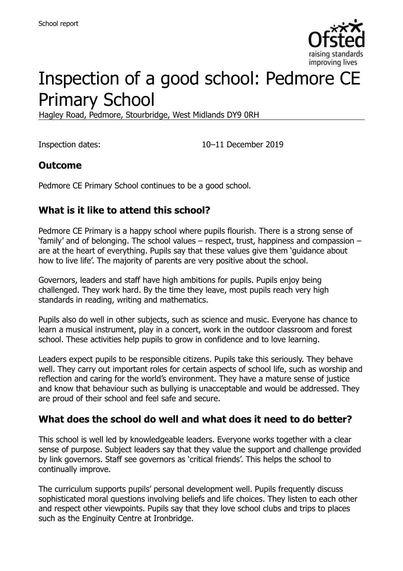

# Inspection of a good school: Pedmore CE Primary School

Hagley Road, Pedmore, Stourbridge, West Midlands DY9 0RH

Inspection dates: 10–11 December 2019

#### **Outcome**

Pedmore CE Primary School continues to be a good school.

## **What is it like to attend this school?**

Pedmore CE Primary is a happy school where pupils flourish. There is a strong sense of 'family' and of belonging. The school values – respect, trust, happiness and compassion – are at the heart of everything. Pupils say that these values give them 'guidance about how to live life'. The majority of parents are very positive about the school.

Governors, leaders and staff have high ambitions for pupils. Pupils enjoy being challenged. They work hard. By the time they leave, most pupils reach very high standards in reading, writing and mathematics.

Pupils also do well in other subjects, such as science and music. Everyone has chance to learn a musical instrument, play in a concert, work in the outdoor classroom and forest school. These activities help pupils to grow in confidence and to love learning.

Leaders expect pupils to be responsible citizens. Pupils take this seriously. They behave well. They carry out important roles for certain aspects of school life, such as worship and reflection and caring for the world's environment. They have a mature sense of justice and know that behaviour such as bullying is unacceptable and would be addressed. They are proud of their school and feel safe and secure.

#### **What does the school do well and what does it need to do better?**

This school is well led by knowledgeable leaders. Everyone works together with a clear sense of purpose. Subject leaders say that they value the support and challenge provided by link governors. Staff see governors as 'critical friends'. This helps the school to continually improve.

The curriculum supports pupils' personal development well. Pupils frequently discuss sophisticated moral questions involving beliefs and life choices. They listen to each other and respect other viewpoints. Pupils say that they love school clubs and trips to places such as the Enginuity Centre at Ironbridge.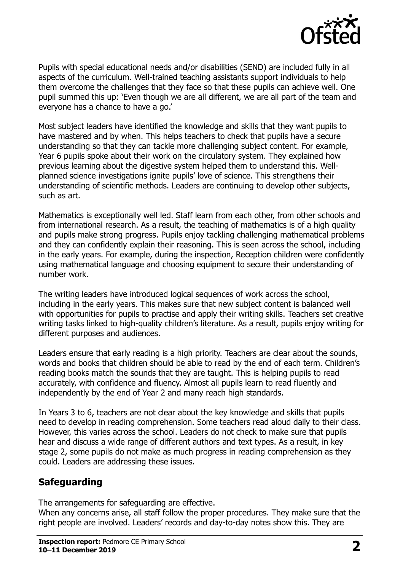

Pupils with special educational needs and/or disabilities (SEND) are included fully in all aspects of the curriculum. Well-trained teaching assistants support individuals to help them overcome the challenges that they face so that these pupils can achieve well. One pupil summed this up: 'Even though we are all different, we are all part of the team and everyone has a chance to have a go.'

Most subject leaders have identified the knowledge and skills that they want pupils to have mastered and by when. This helps teachers to check that pupils have a secure understanding so that they can tackle more challenging subject content. For example, Year 6 pupils spoke about their work on the circulatory system. They explained how previous learning about the digestive system helped them to understand this. Wellplanned science investigations ignite pupils' love of science. This strengthens their understanding of scientific methods. Leaders are continuing to develop other subjects, such as art.

Mathematics is exceptionally well led. Staff learn from each other, from other schools and from international research. As a result, the teaching of mathematics is of a high quality and pupils make strong progress. Pupils enjoy tackling challenging mathematical problems and they can confidently explain their reasoning. This is seen across the school, including in the early years. For example, during the inspection, Reception children were confidently using mathematical language and choosing equipment to secure their understanding of number work.

The writing leaders have introduced logical sequences of work across the school, including in the early years. This makes sure that new subject content is balanced well with opportunities for pupils to practise and apply their writing skills. Teachers set creative writing tasks linked to high-quality children's literature. As a result, pupils enjoy writing for different purposes and audiences.

Leaders ensure that early reading is a high priority. Teachers are clear about the sounds, words and books that children should be able to read by the end of each term. Children's reading books match the sounds that they are taught. This is helping pupils to read accurately, with confidence and fluency. Almost all pupils learn to read fluently and independently by the end of Year 2 and many reach high standards.

In Years 3 to 6, teachers are not clear about the key knowledge and skills that pupils need to develop in reading comprehension. Some teachers read aloud daily to their class. However, this varies across the school. Leaders do not check to make sure that pupils hear and discuss a wide range of different authors and text types. As a result, in key stage 2, some pupils do not make as much progress in reading comprehension as they could. Leaders are addressing these issues.

# **Safeguarding**

The arrangements for safeguarding are effective.

When any concerns arise, all staff follow the proper procedures. They make sure that the right people are involved. Leaders' records and day-to-day notes show this. They are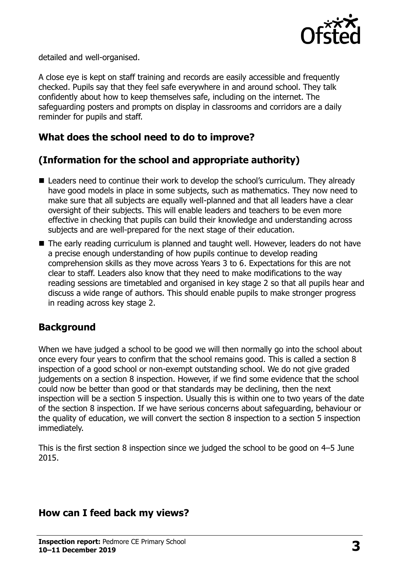

detailed and well-organised.

A close eye is kept on staff training and records are easily accessible and frequently checked. Pupils say that they feel safe everywhere in and around school. They talk confidently about how to keep themselves safe, including on the internet. The safeguarding posters and prompts on display in classrooms and corridors are a daily reminder for pupils and staff.

### **What does the school need to do to improve?**

# **(Information for the school and appropriate authority)**

- Leaders need to continue their work to develop the school's curriculum. They already have good models in place in some subjects, such as mathematics. They now need to make sure that all subjects are equally well-planned and that all leaders have a clear oversight of their subjects. This will enable leaders and teachers to be even more effective in checking that pupils can build their knowledge and understanding across subjects and are well-prepared for the next stage of their education.
- The early reading curriculum is planned and taught well. However, leaders do not have a precise enough understanding of how pupils continue to develop reading comprehension skills as they move across Years 3 to 6. Expectations for this are not clear to staff. Leaders also know that they need to make modifications to the way reading sessions are timetabled and organised in key stage 2 so that all pupils hear and discuss a wide range of authors. This should enable pupils to make stronger progress in reading across key stage 2.

#### **Background**

When we have judged a school to be good we will then normally go into the school about once every four years to confirm that the school remains good. This is called a section 8 inspection of a good school or non-exempt outstanding school. We do not give graded judgements on a section 8 inspection. However, if we find some evidence that the school could now be better than good or that standards may be declining, then the next inspection will be a section 5 inspection. Usually this is within one to two years of the date of the section 8 inspection. If we have serious concerns about safeguarding, behaviour or the quality of education, we will convert the section 8 inspection to a section 5 inspection immediately.

This is the first section 8 inspection since we judged the school to be good on 4–5 June 2015.

#### **How can I feed back my views?**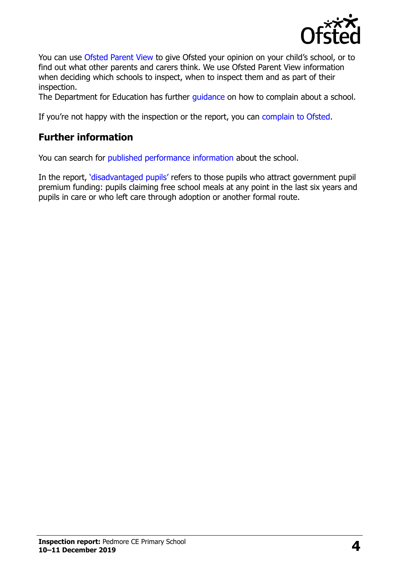

You can use [Ofsted Parent View](https://parentview.ofsted.gov.uk/) to give Ofsted your opinion on your child's school, or to find out what other parents and carers think. We use Ofsted Parent View information when deciding which schools to inspect, when to inspect them and as part of their inspection.

The Department for Education has further quidance on how to complain about a school.

If you're not happy with the inspection or the report, you can [complain to Ofsted.](https://www.gov.uk/complain-ofsted-report)

# **Further information**

You can search for [published performance information](http://www.compare-school-performance.service.gov.uk/) about the school.

In the report, '[disadvantaged pupils](http://www.gov.uk/guidance/pupil-premium-information-for-schools-and-alternative-provision-settings)' refers to those pupils who attract government pupil premium funding: pupils claiming free school meals at any point in the last six years and pupils in care or who left care through adoption or another formal route.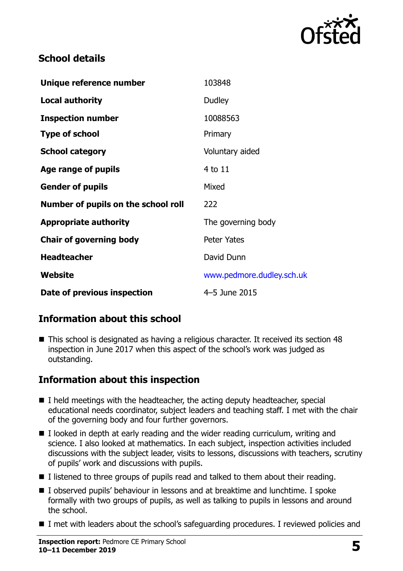

## **School details**

| Unique reference number             | 103848                    |
|-------------------------------------|---------------------------|
| <b>Local authority</b>              | Dudley                    |
| <b>Inspection number</b>            | 10088563                  |
| <b>Type of school</b>               | Primary                   |
| <b>School category</b>              | Voluntary aided           |
| Age range of pupils                 | 4 to 11                   |
| <b>Gender of pupils</b>             | Mixed                     |
| Number of pupils on the school roll | 222                       |
| <b>Appropriate authority</b>        | The governing body        |
| <b>Chair of governing body</b>      | <b>Peter Yates</b>        |
| <b>Headteacher</b>                  | David Dunn                |
| Website                             | www.pedmore.dudley.sch.uk |
| Date of previous inspection         | 4-5 June 2015             |

# **Information about this school**

■ This school is designated as having a religious character. It received its section 48 inspection in June 2017 when this aspect of the school's work was judged as outstanding.

# **Information about this inspection**

- $\blacksquare$  I held meetings with the headteacher, the acting deputy headteacher, special educational needs coordinator, subject leaders and teaching staff. I met with the chair of the governing body and four further governors.
- $\blacksquare$  I looked in depth at early reading and the wider reading curriculum, writing and science. I also looked at mathematics. In each subject, inspection activities included discussions with the subject leader, visits to lessons, discussions with teachers, scrutiny of pupils' work and discussions with pupils.
- $\blacksquare$  I listened to three groups of pupils read and talked to them about their reading.
- I observed pupils' behaviour in lessons and at breaktime and lunchtime. I spoke formally with two groups of pupils, as well as talking to pupils in lessons and around the school.
- I met with leaders about the school's safeguarding procedures. I reviewed policies and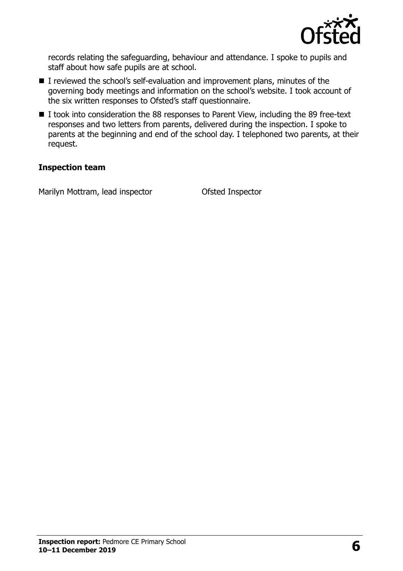

records relating the safeguarding, behaviour and attendance. I spoke to pupils and staff about how safe pupils are at school.

- I reviewed the school's self-evaluation and improvement plans, minutes of the governing body meetings and information on the school's website. I took account of the six written responses to Ofsted's staff questionnaire.
- I took into consideration the 88 responses to Parent View, including the 89 free-text responses and two letters from parents, delivered during the inspection. I spoke to parents at the beginning and end of the school day. I telephoned two parents, at their request.

#### **Inspection team**

Marilyn Mottram, lead inspector **Ofsted Inspector**